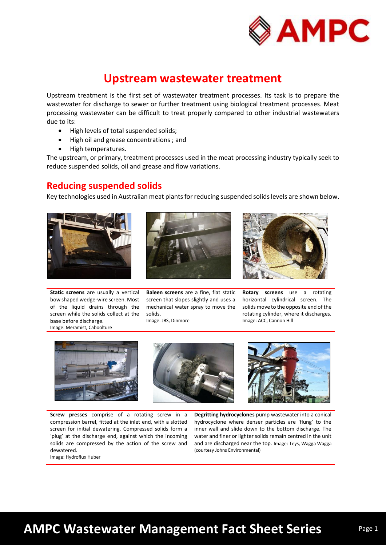

## **Upstream wastewater treatment**

Upstream treatment is the first set of wastewater treatment processes. Its task is to prepare the wastewater for discharge to sewer or further treatment using biological treatment processes. Meat processing wastewater can be difficult to treat properly compared to other industrial wastewaters due to its:

- High levels of total suspended solids;
- High oil and grease concentrations ; and
- High temperatures.

The upstream, or primary, treatment processes used in the meat processing industry typically seek to reduce suspended solids, oil and grease and flow variations.

### **Reducing suspended solids**

Key technologies used in Australian meat plants for reducing suspended solids levels are shown below.







**Baleen screens** are a fine, flat static screen that slopes slightly and uses a mechanical water spray to move the solids.

Image: JBS, Dinmore



**Rotary screens** use a rotating horizontal cylindrical screen. The solids move to the opposite end of the rotating cylinder, where it discharges. Image: ACC, Cannon Hill



**Screw presses** comprise of a rotating screw in a compression barrel, fitted at the inlet end, with a slotted screen for initial dewatering. Compressed solids form a 'plug' at the discharge end, against which the incoming solids are compressed by the action of the screw and dewatered. Image: Hydroflux Huber

**Degritting hydrocyclones** pump wastewater into a conical hydrocyclone where denser particles are 'flung' to the inner wall and slide down to the bottom discharge. The water and finer or lighter solids remain centred in the unit and are discharged near the top. Image: Teys, Wagga Wagga (courtesy Johns Environmental)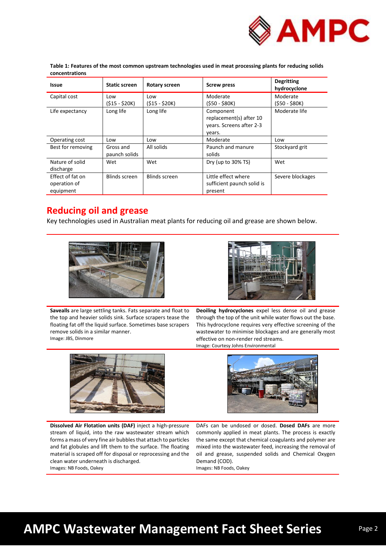

| <b>Issue</b>                                  | <b>Static screen</b>       | Rotary screen         | <b>Screw press</b>                                                         | <b>Degritting</b><br>hydrocyclone |
|-----------------------------------------------|----------------------------|-----------------------|----------------------------------------------------------------------------|-----------------------------------|
| Capital cost                                  | Low<br>$(515 - 520K)$      | Low<br>$(S15 - S20K)$ | Moderate<br>$(550 - 580K)$                                                 | Moderate<br>(\$50 - \$80K)        |
| Life expectancy                               | Long life                  | Long life             | Component<br>replacement(s) after 10<br>years. Screens after 2-3<br>years. | Moderate life                     |
| Operating cost                                | Low                        | Low                   | Moderate                                                                   | Low                               |
| Best for removing                             | Gross and<br>paunch solids | All solids            | Paunch and manure<br>solids                                                | Stockyard grit                    |
| Nature of solid<br>discharge                  | Wet                        | Wet                   | Dry (up to 30% TS)                                                         | Wet                               |
| Effect of fat on<br>operation of<br>equipment | Blinds screen              | <b>Blinds screen</b>  | Little effect where<br>sufficient paunch solid is<br>present               | Severe blockages                  |

**Table 1: Features of the most common upstream technologies used in meat processing plants for reducing solids concentrations**

## **Reducing oil and grease**

Key technologies used in Australian meat plants for reducing oil and grease are shown below.





**Savealls** are large settling tanks. Fats separate and float to the top and heavier solids sink. Surface scrapers tease the floating fat off the liquid surface. Sometimes base scrapers remove solids in a similar manner. Image: JBS, Dinmore

**Deoiling hydrocyclones** expel less dense oil and grease through the top of the unit while water flows out the base. This hydrocyclone requires very effective screening of the wastewater to minimise blockages and are generally most effective on non-render red streams. Image: Courtesy Johns Environmental



**Dissolved Air Flotation units (DAF)** inject a high-pressure stream of liquid, into the raw wastewater stream which forms a mass of very fine air bubbles that attach to particles and fat globules and lift them to the surface. The floating material is scraped off for disposal or reprocessing and the clean water underneath is discharged. Images: NB Foods, Oakey

DAFs can be undosed or dosed. **Dosed DAFs** are more commonly applied in meat plants. The process is exactly the same except that chemical coagulants and polymer are mixed into the wastewater feed, increasing the removal of oil and grease, suspended solids and Chemical Oxygen Demand (COD).

Images: NB Foods, Oakey

# **AMPC Wastewater Management Fact Sheet Series**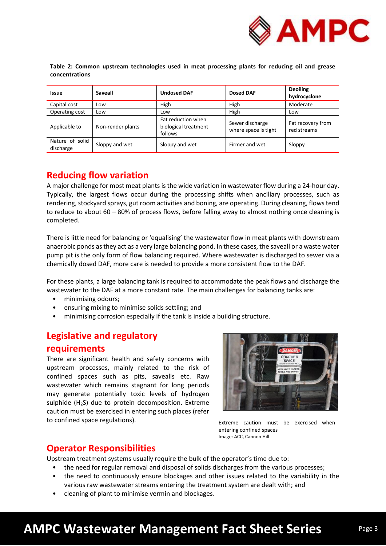

**Table 2: Common upstream technologies used in meat processing plants for reducing oil and grease concentrations**

| <b>Issue</b>                 | <b>Saveall</b>    | <b>Undosed DAF</b>                                    | Dosed DAF                               | <b>Deoiling</b><br>hydrocyclone  |
|------------------------------|-------------------|-------------------------------------------------------|-----------------------------------------|----------------------------------|
| Capital cost                 | Low               | High                                                  | High                                    | Moderate                         |
| Operating cost               | Low               | Low                                                   | High                                    | Low                              |
| Applicable to                | Non-render plants | Fat reduction when<br>biological treatment<br>follows | Sewer discharge<br>where space is tight | Fat recovery from<br>red streams |
| Nature of solid<br>discharge | Sloppy and wet    | Sloppy and wet                                        | Firmer and wet                          | Sloppy                           |

## **Reducing flow variation**

A major challenge for most meat plants is the wide variation in wastewater flow during a 24-hour day. Typically, the largest flows occur during the processing shifts when ancillary processes, such as rendering, stockyard sprays, gut room activities and boning, are operating. During cleaning, flows tend to reduce to about 60 – 80% of process flows, before falling away to almost nothing once cleaning is completed.

There is little need for balancing or 'equalising' the wastewater flow in meat plants with downstream anaerobic ponds as they act as a very large balancing pond. In these cases, the saveall or a waste water pump pit is the only form of flow balancing required. Where wastewater is discharged to sewer via a chemically dosed DAF, more care is needed to provide a more consistent flow to the DAF.

For these plants, a large balancing tank is required to accommodate the peak flows and discharge the wastewater to the DAF at a more constant rate. The main challenges for balancing tanks are:

- minimising odours;
- ensuring mixing to minimise solids settling; and
- minimising corrosion especially if the tank is inside a building structure.

## **Legislative and regulatory**

### **requirements**

There are significant health and safety concerns with upstream processes, mainly related to the risk of confined spaces such as pits, savealls etc. Raw wastewater which remains stagnant for long periods may generate potentially toxic levels of hydrogen sulphide (H2S) due to protein decomposition. Extreme caution must be exercised in entering such places (refer to confined space regulations).



Extreme caution must be exercised when entering confined spaces Image: ACC, Cannon Hill

## **Operator Responsibilities**

Upstream treatment systems usually require the bulk of the operator's time due to:

- the need for regular removal and disposal of solids discharges from the various processes;
- the need to continuously ensure blockages and other issues related to the variability in the various raw wastewater streams entering the treatment system are dealt with; and
- cleaning of plant to minimise vermin and blockages.

# **AMPC Wastewater Management Fact Sheet Series**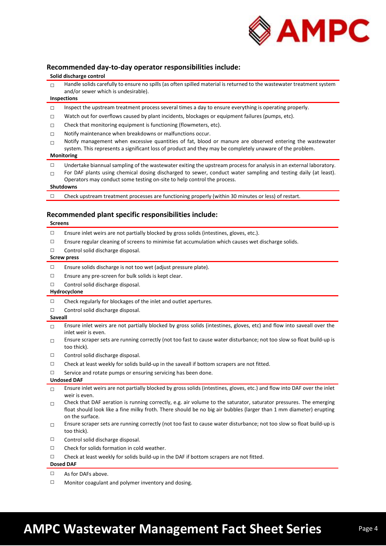

### **Recommended day-to-day operator responsibilities include:**

#### **Solid discharge control**

| Handle solids carefully to ensure no spills (as often spilled material is returned to the wastewater treatment system |
|-----------------------------------------------------------------------------------------------------------------------|
| and/or sewer which is undesirable).                                                                                   |

#### **Inspections**

- $\square$  Inspect the upstream treatment process several times a day to ensure everything is operating properly.
- □ Watch out for overflows caused by plant incidents, blockages or equipment failures (pumps, etc).
- $\square$  Check that monitoring equipment is functioning (flowmeters, etc).
- □ Notify maintenance when breakdowns or malfunctions occur.
- $\Box$  Notify management when excessive quantities of fat, blood or manure are observed entering the wastewater system. This represents a significant loss of product and they may be completely unaware of the problem.

#### **Monitoring**

- $\Box$  Undertake biannual sampling of the wastewater exiting the upstream process for analysis in an external laboratory.
- $\Box$  For DAF plants using chemical dosing discharged to sewer, conduct water sampling and testing daily (at least). Operators may conduct some testing on-site to help control the process.

#### **Shutdowns**

 $\square$  Check upstream treatment processes are functioning properly (within 30 minutes or less) of restart.

#### **Recommended plant specific responsibilities include:**

#### **Screens**

- $\square$  Ensure inlet weirs are not partially blocked by gross solids (intestines, gloves, etc.).
- $\square$  Ensure regular cleaning of screens to minimise fat accumulation which causes wet discharge solids.
- □ Control solid discharge disposal.

#### **Screw press**

- □ Ensure solids discharge is not too wet (adjust pressure plate).
- □ Ensure any pre-screen for bulk solids is kept clear.
- □ Control solid discharge disposal.

#### **Hydrocyclone**

- □ Check regularly for blockages of the inlet and outlet apertures.
- □ Control solid discharge disposal.

#### **Saveall**

- $\Box$  Ensure inlet weirs are not partially blocked by gross solids (intestines, gloves, etc) and flow into saveall over the inlet weir is even.
- $\square$  Ensure scraper sets are running correctly (not too fast to cause water disturbance; not too slow so float build-up is too thick).
- □ Control solid discharge disposal.
- $\Box$  Check at least weekly for solids build-up in the saveall if bottom scrapers are not fitted.
- $\square$  Service and rotate pumps or ensuring servicing has been done.

#### **Undosed DAF**

- $\Box$  Ensure inlet weirs are not partially blocked by gross solids (intestines, gloves, etc.) and flow into DAF over the inlet weir is even.
- $\square$  Check that DAF aeration is running correctly, e.g. air volume to the saturator, saturator pressures. The emerging float should look like a fine milky froth. There should be no big air bubbles (larger than 1 mm diameter) erupting on the surface.
- $\Box$  Ensure scraper sets are running correctly (not too fast to cause water disturbance; not too slow so float build-up is too thick).
- □ Control solid discharge disposal.
- □ Check for solids formation in cold weather.
- □ Check at least weekly for solids build-up in the DAF if bottom scrapers are not fitted.

#### **Dosed DAF**

- □ As for DAFs above.
- □ Monitor coagulant and polymer inventory and dosing.